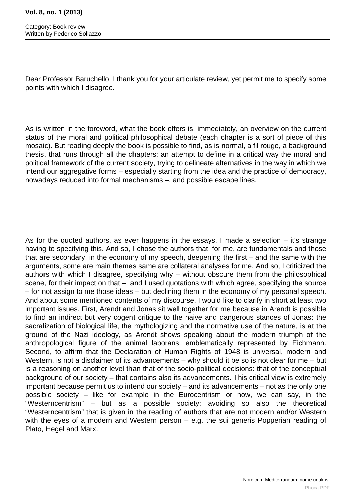Dear Professor Baruchello, I thank you for your articulate review, yet permit me to specify some points with which I disagree.

As is written in the foreword, what the book offers is, immediately, an overview on the current status of the moral and political philosophical debate (each chapter is a sort of piece of this mosaic). But reading deeply the book is possible to find, as is normal, a fil rouge, a background thesis, that runs through all the chapters: an attempt to define in a critical way the moral and political framework of the current society, trying to delineate alternatives in the way in which we intend our aggregative forms – especially starting from the idea and the practice of democracy, nowadays reduced into formal mechanisms –, and possible escape lines.

As for the quoted authors, as ever happens in the essays, I made a selection – it's strange having to specifying this. And so, I chose the authors that, for me, are fundamentals and those that are secondary, in the economy of my speech, deepening the first – and the same with the arguments, some are main themes same are collateral analyses for me. And so, I criticized the authors with which I disagree, specifying why – without obscure them from the philosophical scene, for their impact on that –, and I used quotations with which agree, specifying the source – for not assign to me those ideas – but declining them in the economy of my personal speech. And about some mentioned contents of my discourse, I would like to clarify in short at least two important issues. First, Arendt and Jonas sit well together for me because in Arendt is possible to find an indirect but very cogent critique to the naive and dangerous stances of Jonas: the sacralization of biological life, the mythologizing and the normative use of the nature, is at the ground of the Nazi ideology, as Arendt shows speaking about the modern triumph of the anthropological figure of the animal laborans, emblematically represented by Eichmann. Second, to affirm that the Declaration of Human Rights of 1948 is universal, modern and Western, is not a disclaimer of its advancements – why should it be so is not clear for me – but is a reasoning on another level than that of the socio-political decisions: that of the conceptual background of our society – that contains also its advancements. This critical view is extremely important because permit us to intend our society – and its advancements – not as the only one possible society – like for example in the Eurocentrism or now, we can say, in the "Westerncentrism" – but as a possible society; avoiding so also the theoretical "Westerncentrism" that is given in the reading of authors that are not modern and/or Western with the eyes of a modern and Western person – e.g. the sui generis Popperian reading of Plato, Hegel and Marx.